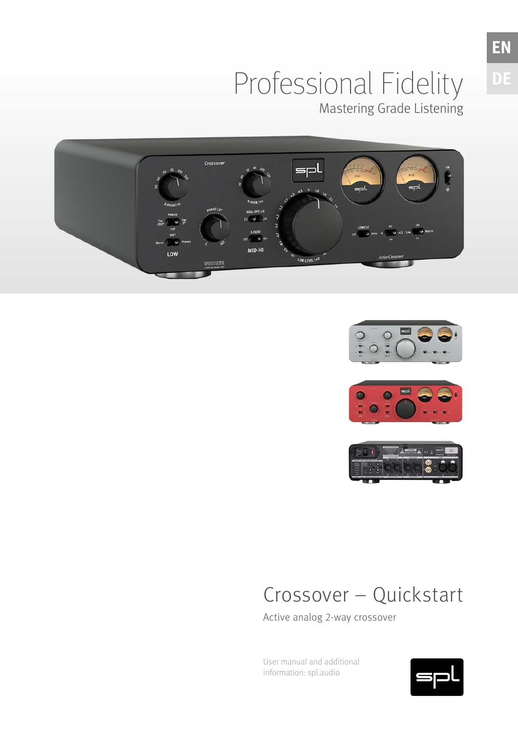### Professional Fidelity Mastering Grade Listening









## Crossover – Quickstart

Active analog 2-way crossover

User manual and additional information: spl.audio

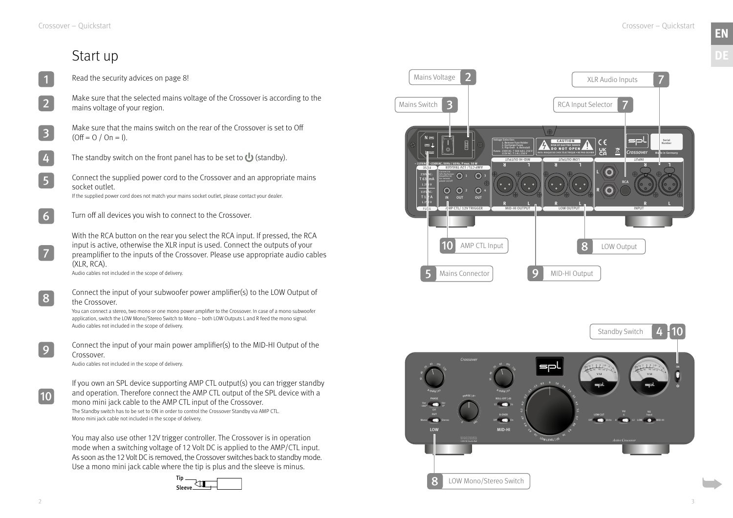### Start up

- Read the security advices on page [8!](#page-4-0) 1
- Make sure that the selected mains voltage of the Crossover is according to the mains voltage of your region. 2
- Make sure that the mains switch on the rear of the Crossover is set to Off  $(Off = 0 / On = 1).$ 3
- The standby switch on the front panel has to be set to  $\bigcup$  (standby). 4
- Connect the supplied power cord to the Crossover and an appropriate mains socket outlet. If the supplied power cord does not match your mains socket outlet, please contact your dealer. 5
- Turn off all devices you wish to connect to the Crossover. 6
	- With the RCA button on the rear you select the RCA input. If pressed, the RCA input is active, otherwise the XLR input is used. Connect the outputs of your preamplifier to the inputs of the Crossover. Please use appropriate audio cables (XLR, RCA).

Audio cables not included in the scope of delivery.

Connect the input of your subwoofer power amplifier(s) to the LOW Output of the Crossover.



You can connect a stereo, two mono or one mono power amplifier to the Crossover. In case of a mono subwoofer application, switch the LOW Mono/Stereo Switch to Mono – both LOW Outputs L and R feed the mono signal. Audio cables not included in the scope of delivery.

Connect the input of your main power amplifier(s) to the MID-HI Output of the Crossover.

Audio cables not included in the scope of delivery.

If you own an SPL device supporting AMP CTL output(s) you can trigger standby and operation. Therefore connect the AMP CTL output of the SPL device with a mono mini jack cable to the AMP CTL input of the Crossover. The Standby switch has to be set to ON in order to control the Crossover Standby via AMP CTL. Mono mini jack cable not included in the scope of delivery.

You may also use other 12V trigger controller. The Crossover is in operation mode when a switching voltage of 12 Volt DC is applied to the AMP/CTL input. As soon as the 12 Volt DC is removed, the Crossover switches back to standby mode. Use a mono mini jack cable where the tip is plus and the sleeve is minus.

7

8

9

10



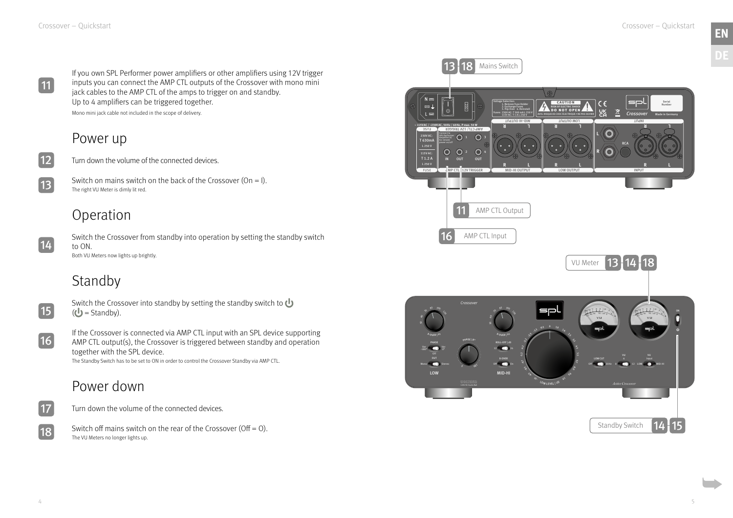Switch on mains switch on the back of the Crossover (On = I). The right VU Meter is dimly lit red.

Switch off mains switch on the rear of the Crossover (Off = O). Standby Switch Standby Switch The VU Meters no longer lights up.



If you own SPL Performer power amplifiers or other amplifiers using 12V trigger inputs you can connect the AMP CTL outputs of the Crossover with mono mini jack cables to the AMP CTL of the amps to trigger on and standby. Up to 4 amplifiers can be triggered together. Mono mini jack cable not included in the scope of delivery.

### Power up

Turn down the volume of the connected devices.

### Operation

Switch the Crossover from standby into operation by setting the standby switch to ON. Both VU Meters now lights up brightly.



### Standby

If the Crossover is connected via AMP CTL input with an SPL device supporting AMP CTL output(s), the Crossover is triggered between standby and operation together with the SPL device.

The Standby Switch has to be set to ON in order to control the Crossover Standby via AMP CTL.

### Power down

Turn down the volume of the connected devices.

11

12

13

14



Switch the Crossover into standby by setting the standby switch to  $\bigcup$  $(\bigcup$  = Standby).



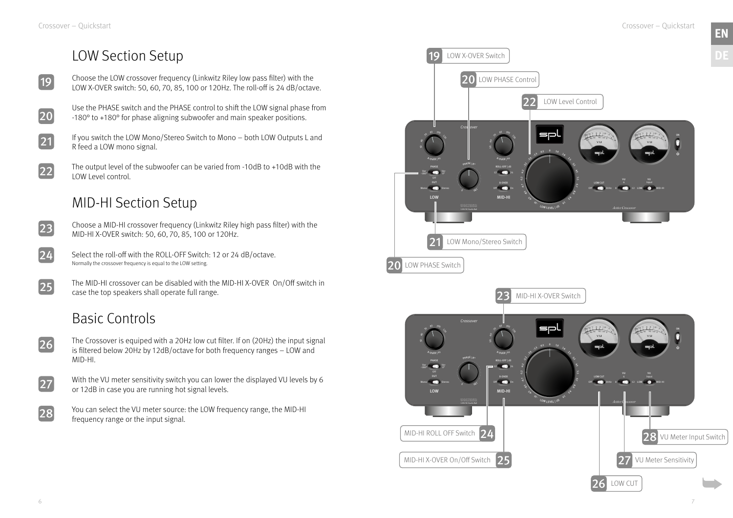### LOW Section Setup

- Choose the LOW crossover frequency (Linkwitz Riley low pass filter) with the LOW X-OVER switch: 50, 60, 70, 85, 100 or 120Hz. The roll-off is 24 dB/octave. 19
- Use the PHASE switch and the PHASE control to shift the LOW signal phase from -180° to +180° for phase aligning subwoofer and main speaker positions. 20
	- If you switch the LOW Mono/Stereo Switch to Mono both LOW Outputs L and R feed a LOW mono signal.
	- The output level of the subwoofer can be varied from -10dB to +10dB with the LOW Level control.

### MID-HI Section Setup

Choose a MID-HI crossover frequency (Linkwitz Riley high pass filter) with the MID-HI X-OVER switch: 50, 60, 70, 85, 100 or 120Hz.

Select the roll-off with the ROLL-OFF Switch: 12 or 24 dB/octave. Normally the crossover frequency is equal to the LOW setting.



The MID-HI crossover can be disabled with the MID-HI X-OVER On/Off switch in case the top speakers shall operate full range.

### Basic Controls

- The Crossover is equiped with a 20Hz low cut filter. If on (20Hz) the input signal is filtered below 20Hz by 12dB/octave for both frequency ranges – LOW and MID-HI.
- 27

With the VU meter sensitivity switch you can lower the displayed VU levels by 6 or 12dB in case you are running hot signal levels.

You can select the VU meter source: the LOW frequency range, the MID-HI frequency range or the input signal.

21

22

23

24

25

26

28

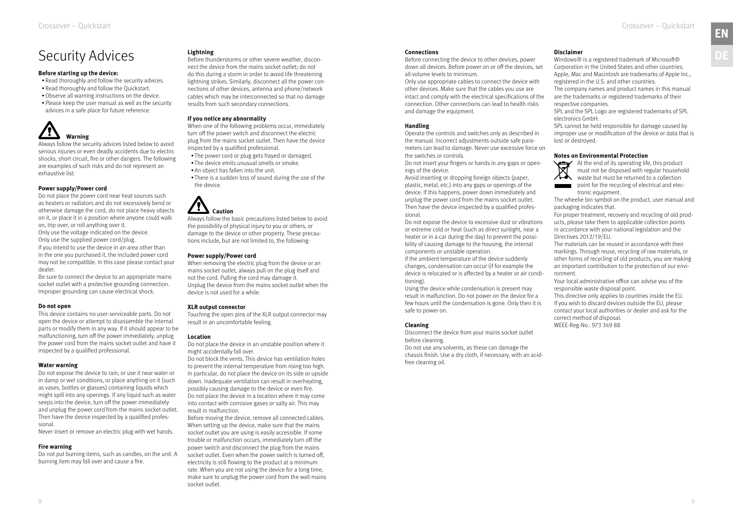## <span id="page-4-0"></span>Security Advices

#### **Before starting up the device:**

- Read thoroughly and follow the security advices.
- Read thoroughly and follow the Quickstart.
- •Observe all warning instructions on the device.
- Please keep the user manual as well as the security advices in a safe place for future reference.

# **Warning**

Always follow the security advices listed below to avoid serious injuries or even deadly accidents due to electric shocks, short circuit, fire or other dangers. The following are examples of such risks and do not represent an exhaustive list:

#### **Power supply/Power cord**

Do not place the power cord near heat sources such as heaters or radiators and do not excessively bend or otherwise damage the cord, do not place heavy objects on it, or place it in a position where anyone could walk on, trip over, or roll anything over it. Only use the voltage indicated on the device.

Only use the supplied power cord/plug. If you intend to use the device in an area other than in the one you purchased it, the included power cord may not be compatible. In this case please contact your dealer.

Be sure to connect the device to an appropriate mains socket outlet with a protective grounding connection. Improper grounding can cause electrical shock.

### **Do not open**

This device contains no user-serviceable parts. Do not open the device or attempt to disassemble the internal parts or modify them in any way. If it should appear to be malfunctioning, turn off the power immediately, unplug the power cord from the mains socket outlet and have it inspected by a qualified professional.

#### **Water warning**

Do not expose the device to rain, or use it near water or in damp or wet conditions, or place anything on it (such as vases, bottles or glasses) containing liquids which might spill into any openings. If any liquid such as water seeps into the device, turn off the power immediately and unplug the power cord from the mains socket outlet. Then have the device inspected by a qualified professional.

Never insert or remove an electric plug with wet hands.

#### **Fire warning**

Do not put burning items, such as candles, on the unit. A burning item may fall over and cause a fire.

#### **Lightning**

Before thunderstorms or other severe weather, disconnect the device from the mains socket outlet; do not do this during a storm in order to avoid life threatening lightning strikes. Similarly, disconnect all the power connections of other devices, antenna and phone/network cables which may be interconnected so that no damage results from such secondary connections.

#### **If you notice any abnormality**

When one of the following problems occur, immediately turn off the power switch and disconnect the electric plug from the mains socket outlet. Then have the device inspected by a qualified professional.

- The power cord or plug gets frayed or damaged.
- The device emits unusual smells or smoke.
- An object has fallen into the unit.
- There is a sudden loss of sound during the use of the the device.



Always follow the basic precautions listed below to avoid the possibility of physical injury to you or others, or damage to the device or other property. These precautions include, but are not limited to, the following:

#### **Power supply/Power cord**

Windows® is a registered trademark of Microsoft® Corporation in the United States and other countries. Apple, Mac and Macintosh are trademarks of Apple Inc., registered in the U.S. and other countries.

When removing the electric plug from the device or an mains socket outlet, always pull on the plug itself and not the cord. Pulling the cord may damage it. Unplug the device from the mains socket outlet when the device is not used for a while.

#### **XLR output connector**

Touching the open pins of the XLR output connector may result in an uncomfortable feeling.

#### **Location**

Do not place the device in an unstable position where it might accidentally fall over.

Do not block the vents. This device has ventilation holes to prevent the internal temperature from rising too high. In particular, do not place the device on its side or upside down. Inadequate ventilation can result in overheating, possibly causing damage to the device or even fire. Do not place the device in a location where it may come into contact with corrosive gases or salty air. This may result in malfunction.

Before moving the device, remove all connected cables. When setting up the device, make sure that the mains socket outlet you are using is easily accessible. If some trouble or malfunction occurs, immediately turn off the power switch and disconnect the plug from the mains socket outlet. Even when the power switch is turned off, electricity is still flowing to the product at a minimum rate. When you are not using the device for a long time, make sure to unplug the power cord from the wall mains socket outlet.

#### **Connections**

Before connecting the device to other devices, power down all devices. Before power on or off the devices, set all volume levels to minimum.

Only use appropriate cables to connect the device with other devices. Make sure that the cables you use are intact and comply with the electrical specifications of the connection. Other connections can lead to health risks and damage the equipment.

#### **Handling**

Operate the controls and switches only as described in the manual. Incorrect adjustments outside safe parameters can lead to damage. Never use excessive force on the switches or controls.

Do not insert your fingers or hands in any gaps or openings of the device.

Avoid inserting or dropping foreign objects (paper, plastic, metal, etc.) into any gaps or openings of the device. If this happens, power down immediately and unplug the power cord from the mains socket outlet. Then have the device inspected by a qualified professional.

Do not expose the device to excessive dust or vibrations or extreme cold or heat (such as direct sunlight, near a heater or in a car during the day) to prevent the possibility of causing damage to the housing, the internal components or unstable operation.

If the ambient temperature of the device suddenly changes, condensation can occur (if for example the device is relocated or is affected by a heater or air conditioning).

Using the device while condensation is present may result in malfunction. Do not power on the device for a few hours until the condensation is gone. Only then it is safe to power on.

### **Cleaning**

Disconnect the device from your mains socket outlet before cleaning.

Do not use any solvents, as these can damage the chassis finish. Use a dry cloth, if necessary, with an acidfree cleaning oil.

### **Disclaimer**

The company names and product names in this manual are the trademarks or registered trademarks of their respective companies.

SPL and the SPL Logo are registered trademarks of SPL electronics GmbH.

SPL cannot be held responsible for damage caused by improper use or modification of the device or data that is lost or destroyed.

### **Notes on Environmental Protection**



At the end of its operating life, this product must not be disposed with regular household waste but must be returned to a collection point for the recycling of electrical and electronic equipment.

The wheelie bin symbol on the product, user manual and packaging indicates that.

For proper treatment, recovery and recycling of old products, please take them to applicable collection points in accordance with your national legislation and the Directives 2012/19/EU.

The materials can be reused in accordance with their markings. Through reuse, recycling of raw materials, or other forms of recycling of old products, you are making an important contribution to the protection of our environment.

Your local administrative office can advise you of the responsible waste disposal point.

This directive only applies to countries inside the EU. If you wish to discard devices outside the EU, please contact your local authorities or dealer and ask for the correct method of disposal.

WEEE-Reg-No.: 973 349 88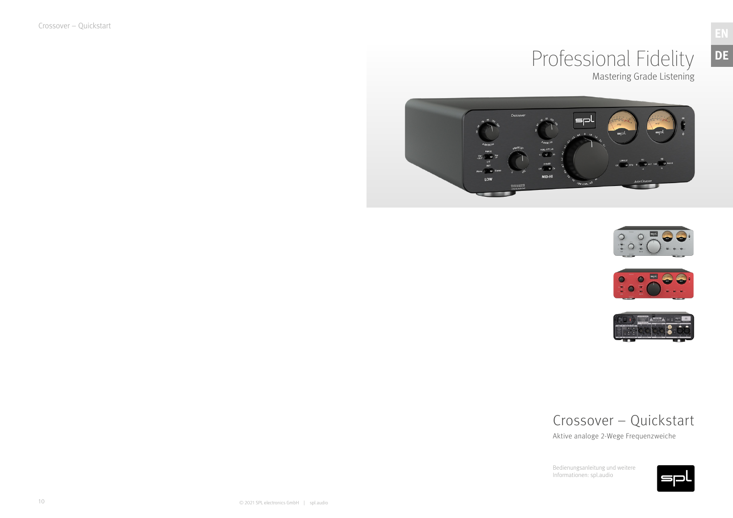Crossover – Quickstart



## Professional Fidelity Mastering Grade Listening







Bedienungsanleitung und weitere Informationen: spl.audio



### Crossover – Quickstart

Aktive analoge 2-Wege Frequenzweiche

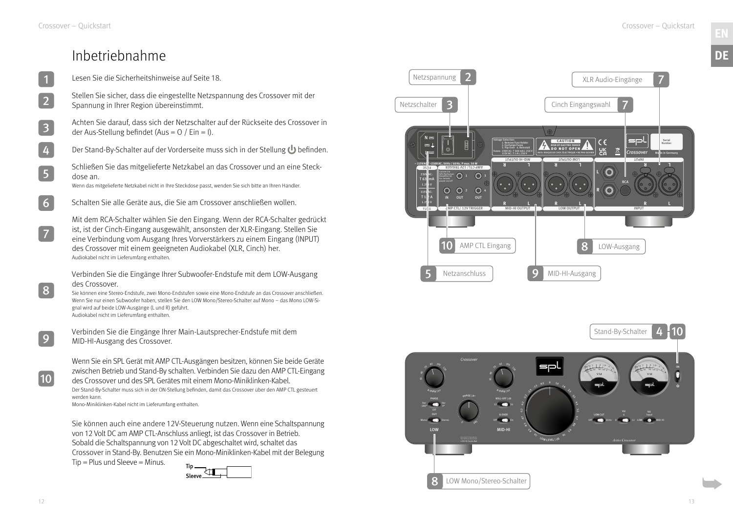



### Inbetriebnahme

|   | Lesen Sie die Sicherheitshinweise auf Seite 18.                                                                                                                                                                                                                                                                                                                                                                                   |
|---|-----------------------------------------------------------------------------------------------------------------------------------------------------------------------------------------------------------------------------------------------------------------------------------------------------------------------------------------------------------------------------------------------------------------------------------|
|   | Stellen Sie sicher, dass die eingestellte Netzspannung des Crossover mit der<br>Spannung in Ihrer Region übereinstimmt.                                                                                                                                                                                                                                                                                                           |
|   | Achten Sie darauf, dass sich der Netzschalter auf der Rückseite des Crossover in<br>der Aus-Stellung befindet (Aus = $0/$ Ein = I).                                                                                                                                                                                                                                                                                               |
| 4 | Der Stand-By-Schalter auf der Vorderseite muss sich in der Stellung U befinden.                                                                                                                                                                                                                                                                                                                                                   |
| 5 | Schließen Sie das mitgelieferte Netzkabel an das Crossover und an eine Steck-<br>dose an.<br>Wenn das mitgelieferte Netzkabel nicht in Ihre Steckdose passt, wenden Sie sich bitte an Ihren Händler.                                                                                                                                                                                                                              |
|   | Schalten Sie alle Geräte aus, die Sie am Crossover anschließen wollen.                                                                                                                                                                                                                                                                                                                                                            |
|   | Mit dem RCA-Schalter wählen Sie den Eingang. Wenn der RCA-Schalter gedrückt<br>ist, ist der Cinch-Eingang ausgewählt, ansonsten der XLR-Eingang. Stellen Sie<br>eine Verbindung vom Ausgang Ihres Vorverstärkers zu einem Eingang (INPUT)<br>des Crossover mit einem geeigneten Audiokabel (XLR, Cinch) her.<br>Audiokabel nicht im Lieferumfang enthalten.                                                                       |
|   | Verbinden Sie die Eingänge Ihrer Subwoofer-Endstufe mit dem LOW-Ausgang<br>des Crossover.<br>Sie können eine Stereo-Endstufe, zwei Mono-Endstufen sowie eine Mono-Endstufe an das Crossover anschließen.<br>Wenn Sie nur einen Subwoofer haben, stellen Sie den LOW Mono/Stereo-Schalter auf Mono - das Mono LOW-Si-<br>gnal wird auf beide LOW-Ausgänge (L und R) geführt.<br>Audiokabel nicht im Lieferumfang enthalten.        |
|   | Verbinden Sie die Eingänge Ihrer Main-Lautsprecher-Endstufe mit dem<br>MID-HI-Ausgang des Crossover.                                                                                                                                                                                                                                                                                                                              |
|   | Wenn Sie ein SPL Gerät mit AMP CTL-Ausgängen besitzen, können Sie beide Geräte<br>zwischen Betrieb und Stand-By schalten. Verbinden Sie dazu den AMP CTL-Eingang<br>des Crossover und des SPL Gerätes mit einem Mono-Miniklinken-Kabel.<br>Der Stand-By-Schalter muss sich in der ON-Stellung befinden, damit das Crossover über den AMP CTL gesteuert<br>werden kann.<br>Mono-Miniklinken-Kabel nicht im Lieferumfang enthalten. |
|   | Sie können auch eine andere 12V-Steuerung nutzen. Wenn eine Schaltspannung<br>von 12 Volt DC am AMP CTL-Anschluss anliegt, ist das Crossover in Betrieb.<br>Sobald die Schaltspannung von 12 Volt DC abgeschaltet wird, schaltet das                                                                                                                                                                                              |

Crossover in Stand-By. Benutzen Sie ein Mono-Miniklinken-Kabel mit der Belegung

 $Tip = Plus$  und Sleeve = Minus.



**DE**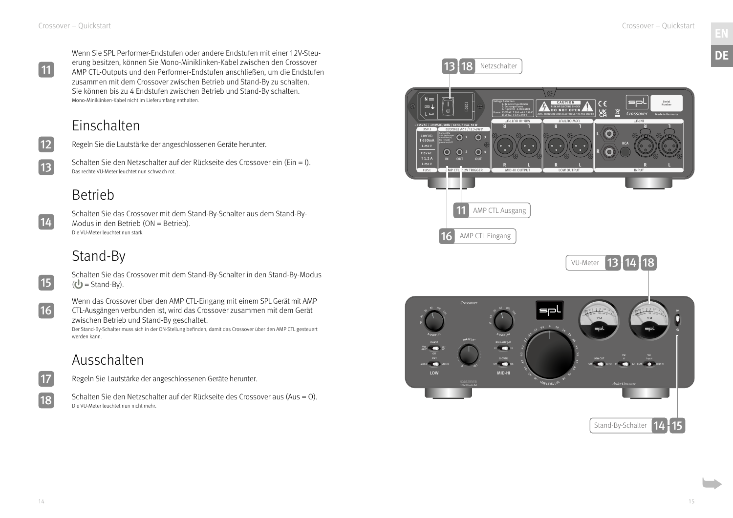Wenn Sie SPL Performer-Endstufen oder andere Endstufen mit einer 12V-Steuerung besitzen, können Sie Mono-Miniklinken-Kabel zwischen den Crossover AMP CTL-Outputs und den Performer-Endstufen anschließen, um die Endstufen zusammen mit dem Crossover zwischen Betrieb und Stand-By zu schalten. Sie können bis zu 4 Endstufen zwischen Betrieb und Stand-By schalten. Mono-Miniklinken-Kabel nicht im Lieferumfang enthalten.

Schalten Sie das Crossover mit dem Stand-By-Schalter in den Stand-By-Modus  $(U =$ Stand-By).

### Einschalten

Regeln Sie die Lautstärke der angeschlossenen Geräte herunter.

Schalten Sie den Netzschalter auf der Rückseite des Crossover ein (Ein = I). Das rechte VU-Meter leuchtet nun schwach rot.

### Betrieb

 $\boxed{14}$ 

Schalten Sie das Crossover mit dem Stand-By-Schalter aus dem Stand-By-Modus in den Betrieb (ON = Betrieb). Die VU-Meter leuchtet nun stark.

## Stand-By

 $\boxed{15}$ 

Wenn das Crossover über den AMP CTL-Eingang mit einem SPL Gerät mit AMP CTL-Ausgängen verbunden ist, wird das Crossover zusammen mit dem Gerät zwischen Betrieb und Stand-By geschaltet.

Der Stand-By-Schalter muss sich in der ON-Stellung befinden, damit das Crossover über den AMP CTL gesteuert werden kann.

### Ausschalten

Regeln Sie Lautstärke der angeschlossenen Geräte herunter.

Schalten Sie den Netzschalter auf der Rückseite des Crossover aus (Aus = O). Die VU-Meter leuchtet nun nicht mehr.

11



13





18



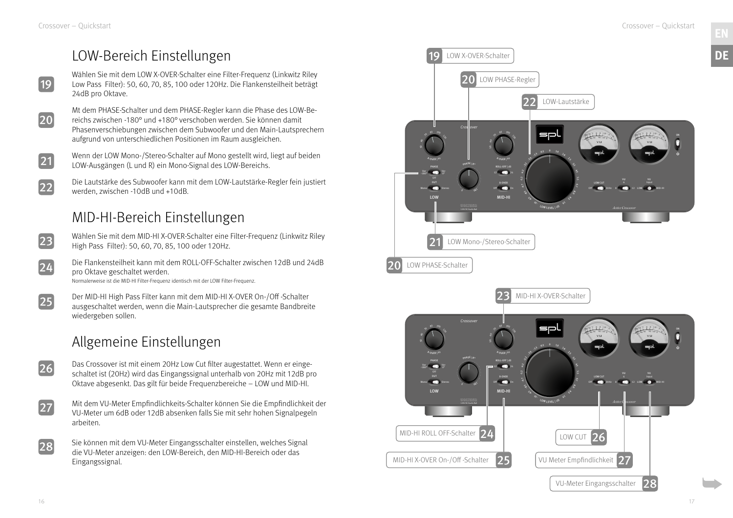### LOW-Bereich Einstellungen

Wenn der LOW Mono-/Stereo-Schalter auf Mono gestellt wird, liegt auf beiden LOW-Ausgängen (L und R) ein Mono-Signal des LOW-Bereichs.

- Das Crossover ist mit einem 20Hz Low Cut filter augestattet. Wenn er eingeschaltet ist (20Hz) wird das Eingangssignal unterhalb von 20Hz mit 12dB pro Oktave abgesenkt. Das gilt für beide Frequenzbereiche – LOW und MID-HI. 26
- $\overline{27}$

Die Lautstärke des Subwoofer kann mit dem LOW-Lautstärke-Regler fein justiert werden, zwischen -10dB und +10dB.

### MID-HI-Bereich Einstellungen

- Wählen Sie mit dem MID-HI X-OVER-Schalter eine Filter-Frequenz (Linkwitz Riley High Pass Filter): 50, 60, 70, 85, 100 oder 120Hz.
- Die Flankensteilheit kann mit dem ROLL-OFF-Schalter zwischen 12dB und 24dB pro Oktave geschaltet werden.
- Wählen Sie mit dem LOW X-OVER-Schalter eine Filter-Frequenz (Linkwitz Riley Low Pass Filter): 50, 60, 70, 85, 100 oder 120Hz. Die Flankensteilheit beträgt 24dB pro Oktave.
- Mt dem PHASE-Schalter und dem PHASE-Regler kann die Phase des LOW-Bereichs zwischen -180° und +180° verschoben werden. Sie können damit Phasenverschiebungen zwischen dem Subwoofer und den Main-Lautsprechern aufgrund von unterschiedlichen Positionen im Raum ausgleichen.
- 21

Normalerweise ist die MID-HI Filter-Frequenz identisch mit der LOW Filter-Frequenz.

Der MID-HI High Pass Filter kann mit dem MID-HI X-OVER On-/Off -Schalter ausgeschaltet werden, wenn die Main-Lautsprecher die gesamte Bandbreite wiedergeben sollen.

### Allgemeine Einstellungen

Mit dem VU-Meter Empfindlichkeits-Schalter können Sie die Empfindlichkeit der VU-Meter um 6dB oder 12dB absenken falls Sie mit sehr hohen Signalpegeln arbeiten.

Sie können mit dem VU-Meter Eingangsschalter einstellen, welches Signal die VU-Meter anzeigen: den LOW-Bereich, den MID-HI-Bereich oder das Eingangssignal.

19

20

22

23

24

25

28



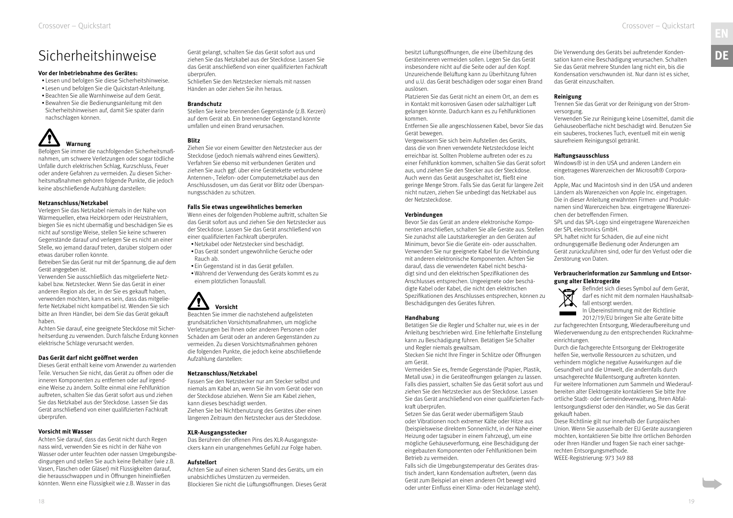### <span id="page-9-0"></span>Sicherheitshinweise

#### **Vor der Inbetriebnahme des Gerätes:**

• Lesen und befolgen Sie diese Sicherheitshinweise.

- Lesen und befolgen Sie die Quickstart-Anleitung.
- •Beachten Sie alle Warnhinweise auf dem Gerät.
- •Bewahren Sie die Bedienungsanleitung mit den Sicherheitshinweisen auf, damit Sie später darin nachschlagen können.



Befolgen Sie immer die nachfolgenden Sicherheitsmaßnahmen, um schwere Verletzungen oder sogar tödliche Unfälle durch elektrischen Schlag, Kurzschluss, Feuer oder andere Gefahren zu vermeiden. Zu diesen Sicherheitsmaßnahmen gehören folgende Punkte, die jedoch keine abschließende Aufzählung darstellen:

#### **Netzanschluss/Netzkabel**

Verlegen Sie das Netzkabel niemals in der Nähe von Wärmequellen, etwa Heizkörpern oder Heizstrahlern, biegen Sie es nicht übermäßig und beschädigen Sie es nicht auf sonstige Weise, stellen Sie keine schweren Gegenstände darauf und verlegen Sie es nicht an einer Stelle, wo jemand darauf treten, darüber stolpern oder etwas darüber rollen könnte.

Betreiben Sie das Gerät nur mit der Spannung, die auf dem Gerät angegeben ist.

Verwenden Sie ausschließlich das mitgelieferte Netzkabel bzw. Netzstecker. Wenn Sie das Gerät in einer anderen Region als der, in der Sie es gekauft haben, verwenden möchten, kann es sein, dass das mitgelieferte Netzkabel nicht kompatibel ist. Wenden Sie sich bitte an Ihren Händler, bei dem Sie das Gerät gekauft haben.

Achten Sie darauf, eine geeignete Steckdose mit Sicherheitserdung zu verwenden. Durch falsche Erdung können elektrische Schläge verursacht werden.

### **Das Gerät darf nicht geöffnet werden**

Dieses Gerät enthält keine vom Anwender zu wartenden Teile. Versuchen Sie nicht, das Gerät zu öffnen oder die inneren Komponenten zu entfernen oder auf irgendeine Weise zu ändern. Sollte einmal eine Fehlfunktion auftreten, schalten Sie das Gerät sofort aus und ziehen Sie das Netzkabel aus der Steckdose. Lassen Sie das Gerät anschließend von einer qualifizierten Fachkraft überprüfen.

#### **Vorsicht mit Wasser**

Achten Sie darauf, dass das Gerät nicht durch Regen nass wird, verwenden Sie es nicht in der Nähe von Wasser oder unter feuchten oder nassen Umgebungsbedingungen und stellen Sie auch keine Behälter (wie z.B. Vasen, Flaschen oder Gläser) mit Flüssigkeiten darauf, die herausschwappen und in Öffnungen hineinfließen könnten. Wenn eine Flüssigkeit wie z.B. Wasser in das

Gerät gelangt, schalten Sie das Gerät sofort aus und ziehen Sie das Netzkabel aus der Steckdose. Lassen Sie das Gerät anschließend von einer qualifizierten Fachkraft überprüfen.

Schließen Sie den Netzstecker niemals mit nassen Händen an oder ziehen Sie ihn heraus.

### **Brandschutz**

Stellen Sie keine brennenden Gegenstände (z.B. Kerzen) auf dem Gerät ab. Ein brennender Gegenstand könnte umfallen und einen Brand verursachen.

#### **Blitz**

Ziehen Sie vor einem Gewitter den Netzstecker aus der Steckdose (jedoch niemals während eines Gewitters). Verfahren Sie ebenso mit verbundenen Geräten und ziehen Sie auch ggf. über eine Gerätekette verbundene Antennen-, Telefon- oder Computernetzkabel aus den Anschlussdosen, um das Gerät vor Blitz oder Überspannungsschäden zu schützen.

#### **Falls Sie etwas ungewöhnliches bemerken**

Wenn eines der folgenden Probleme auftritt, schalten Sie das Gerät sofort aus und ziehen Sie den Netzstecker aus der Steckdose. Lassen Sie das Gerät anschließend von einer qualifizierten Fachkraft überprüfen.

- •Netzkabel oder Netzstecker sind beschädigt.
- •Das Gerät sondert ungewöhnliche Gerüche oder Rauch ab.
- Ein Gegenstand ist in das Gerät gefallen.
- •Während der Verwendung des Geräts kommt es zu einem plötzlichen Tonausfall.



Beachten Sie immer die nachstehend aufgelisteten grundsätzlichen Vorsichtsmaßnahmen, um mögliche Verletzungen bei Ihnen oder anderen Personen oder Schäden am Gerät oder an anderen Gegenständen zu vermeiden. Zu diesen Vorsichtsmaßnahmen gehören die folgenden Punkte, die jedoch keine abschließende Aufzählung darstellen:

### **Netzanschluss/Netzkabel**

Fassen Sie den Netzstecker nur am Stecker selbst und niemals am Kabel an, wenn Sie ihn vom Gerät oder von der Steckdose abziehen. Wenn Sie am Kabel ziehen, kann dieses beschädigt werden. Ziehen Sie bei Nichtbenutzung des Gerätes über einen längeren Zeitraum den Netzstecker aus der Steckdose.

#### **XLR-Ausgangsstecker**

Das Berühren der offenen Pins des XLR-Ausgangssteckers kann ein unangenehmes Gefühl zur Folge haben.

### **Aufstellort**

Achten Sie auf einen sicheren Stand des Geräts, um ein unabsichtliches Umstürzen zu vermeiden. Blockieren Sie nicht die Lüftungsöffnungen. Dieses Gerät

besitzt Lüftungsöffnungen, die eine Überhitzung des Geräteinneren vermeiden sollen. Legen Sie das Gerät insbesondere nicht auf die Seite oder auf den Kopf. Unzureichende Belüftung kann zu Überhitzung führen und u.U. das Gerät beschädigen oder sogar einen Brand auslösen.

Platzieren Sie das Gerät nicht an einem Ort, an dem es in Kontakt mit korrosiven Gasen oder salzhaltiger Luft gelangen könnte. Dadurch kann es zu Fehlfunktionen kommen.

Entfernen Sie alle angeschlossenen Kabel, bevor Sie das Gerät bewegen.

Vergewissern Sie sich beim Aufstellen des Geräts, dass die von Ihnen verwendete Netzsteckdose leicht erreichbar ist. Sollten Probleme auftreten oder es zu einer Fehlfunktion kommen, schalten Sie das Gerät sofort aus, und ziehen Sie den Stecker aus der Steckdose. Auch wenn das Gerät ausgeschaltet ist, fließt eine geringe Menge Strom. Falls Sie das Gerät für längere Zeit nicht nutzen, ziehen Sie unbedingt das Netzkabel aus der Netzsteckdose.

#### **Verbindungen**

Bevor Sie das Gerät an andere elektronische Komponenten anschließen, schalten Sie alle Geräte aus. Stellen Sie zunächst alle Lautstärkeregler an den Geräten auf Minimum, bevor Sie die Geräte ein- oder ausschalten. Verwenden Sie nur geeignete Kabel für die Verbindung mit anderen elektronische Komponenten. Achten Sie darauf, dass die verwendeten Kabel nicht beschädigt sind und den elektrischen Spezifikationen des Anschlusses entsprechen. Ungeeignete oder beschädigte Kabel oder Kabel, die nicht den elektrischen Spezifikationen des Anschlusses entsprechen, können zu Beschädigungen des Gerätes führen.

### **Handhabung**

Betätigen Sie die Regler und Schalter nur, wie es in der Anleitung beschrieben wird. Eine fehlerhafte Einstellung kann zu Beschädigung führen. Betätigen Sie Schalter und Regler niemals gewaltsam.

Stecken Sie nicht Ihre Finger in Schlitze oder Öffnungen am Gerät.

Vermeiden Sie es, fremde Gegenstände (Papier, Plastik, Metall usw.) in die Geräteöffnungen gelangen zu lassen. Falls dies passiert, schalten Sie das Gerät sofort aus und ziehen Sie den Netzstecker aus der Steckdose. Lassen Sie das Gerät anschließend von einer qualifizierten Fachkraft überprüfen.

Setzen Sie das Gerät weder übermäßigem Staub oder Vibrationen noch extremer Kälte oder Hitze aus (beispielsweise direktem Sonnenlicht, in der Nähe einer Heizung oder tagsüber in einem Fahrzeug), um eine mögliche Gehäuseverformung, eine Beschädigung der eingebauten Komponenten oder Fehlfunktionen beim Betrieb zu vermeiden.

Falls sich die Umgebungstemperatur des Gerätes drastisch ändert, kann Kondensation auftreten, (wenn das Gerät zum Beispiel an einen anderen Ort bewegt wird oder unter Einfluss einer Klima- oder Heizanlage steht). Die Verwendung des Geräts bei auftretender Kondensation kann eine Beschädigung verursachen. Schalten Sie das Gerät mehrere Stunden lang nicht ein, bis die Kondensation verschwunden ist. Nur dann ist es sicher, das Gerät einzuschalten.

### **Reinigung**

Trennen Sie das Gerät vor der Reinigung von der Stromversorgung.

Verwenden Sie zur Reinigung keine Lösemittel, damit die Gehäuseoberfläche nicht beschädigt wird. Benutzen Sie ein sauberes, trockenes Tuch, eventuell mit ein wenig säurefreiem Reinigungsöl getränkt.

### **Haftungsausschluss**

Windows® ist in den USA und anderen Ländern ein eingetragenes Warenzeichen der Microsoft® Corporation.

Apple, Mac und Macintosh sind in den USA und anderen Ländern als Warenzeichen von Apple Inc. eingetragen. Die in dieser Anleitung erwähnten Firmen- und Produktnamen sind Warenzeichen bzw. eingetragene Warenzeichen der betreffenden Firmen.

SPL und das SPL-Logo sind eingetragene Warenzeichen der SPL electronics GmbH.

SPL haftet nicht für Schäden, die auf eine nicht ordnungsgemäße Bedienung oder Änderungen am Gerät zurückzuführen sind, oder für den Verlust oder die Zerstörung von Daten.

#### **Verbraucherinformation zur Sammlung und Entsorgung alter Elektrogeräte**



Befindet sich dieses Symbol auf dem Gerät, darf es nicht mit dem normalen Haushaltsabfall entsorgt werden.

In Übereinstimmung mit der Richtlinie 2012/19/EU bringen Sie alte Geräte bitte

zur fachgerechten Entsorgung, Wiederaufbereitung und Wiederverwendung zu den entsprechenden Rücknahmeeinrichtungen.

Durch die fachgerechte Entsorgung der Elektrogeräte helfen Sie, wertvolle Ressourcen zu schützen, und verhindern mögliche negative Auswirkungen auf die Gesundheit und die Umwelt, die andernfalls durch unsachgerechte Müllentsorgung auftreten könnten. Für weitere Informationen zum Sammeln und Wiederaufbereiten alter Elektrogeräte kontaktieren Sie bitte Ihre örtliche Stadt- oder Gemeindeverwaltung, Ihren Abfallentsorgungsdienst oder den Händler, wo Sie das Gerät gekauft haben.

Diese Richtlinie gilt nur innerhalb der Europäischen Union. Wenn Sie ausserhalb der EU Geräte ausrangieren möchten, kontaktieren Sie bitte Ihre örtlichen Behörden oder Ihren Händler und fragen Sie nach einer sachgerechten Entsorgungsmethode.

WEEE-Registrierung: 973 349 88

**DE**